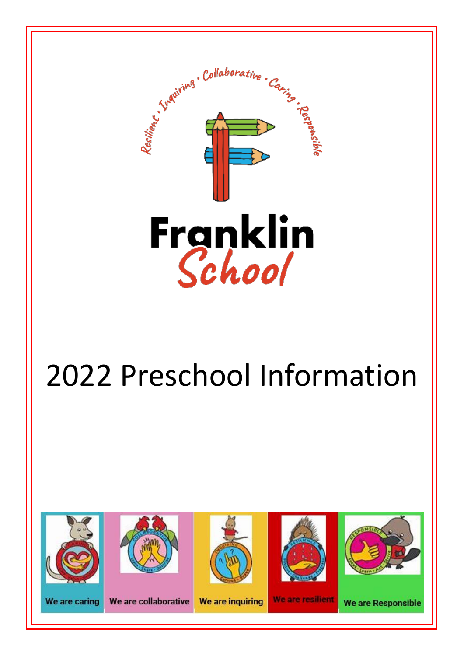

# 2022 Preschool Information

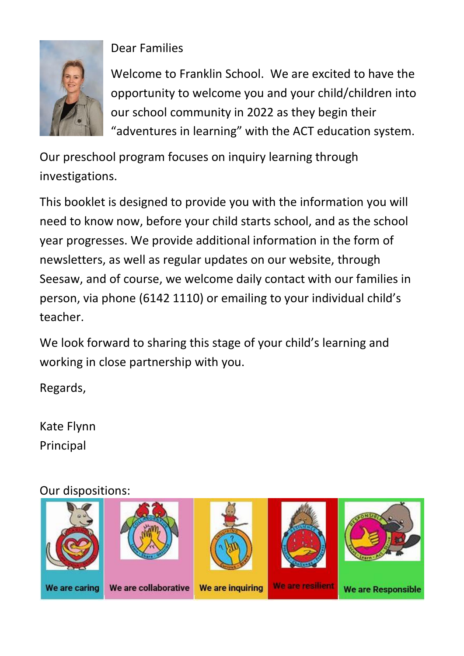

#### Dear Families

Welcome to Franklin School. We are excited to have the opportunity to welcome you and your child/children into our school community in 2022 as they begin their "adventures in learning" with the ACT education system.

Our preschool program focuses on inquiry learning through investigations.

This booklet is designed to provide you with the information you will need to know now, before your child starts school, and as the school year progresses. We provide additional information in the form of newsletters, as well as regular updates on our website, through Seesaw, and of course, we welcome daily contact with our families in person, via phone (6142 1110) or emailing to your individual child's teacher.

We look forward to sharing this stage of your child's learning and working in close partnership with you.

Regards,

Kate Flynn Principal

#### Our dispositions:

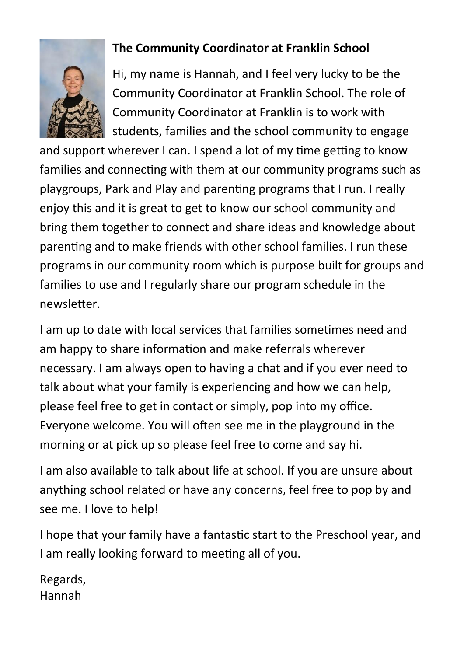

#### **The Community Coordinator at Franklin School**

Hi, my name is Hannah, and I feel very lucky to be the Community Coordinator at Franklin School. The role of Community Coordinator at Franklin is to work with students, families and the school community to engage

and support wherever I can. I spend a lot of my time getting to know families and connecting with them at our community programs such as playgroups, Park and Play and parenting programs that I run. I really enjoy this and it is great to get to know our school community and bring them together to connect and share ideas and knowledge about parenting and to make friends with other school families. I run these programs in our community room which is purpose built for groups and families to use and I regularly share our program schedule in the newsletter.

I am up to date with local services that families sometimes need and am happy to share information and make referrals wherever necessary. I am always open to having a chat and if you ever need to talk about what your family is experiencing and how we can help, please feel free to get in contact or simply, pop into my office. Everyone welcome. You will often see me in the playground in the morning or at pick up so please feel free to come and say hi.

I am also available to talk about life at school. If you are unsure about anything school related or have any concerns, feel free to pop by and see me. I love to help!

I hope that your family have a fantastic start to the Preschool year, and I am really looking forward to meeting all of you.

Regards, Hannah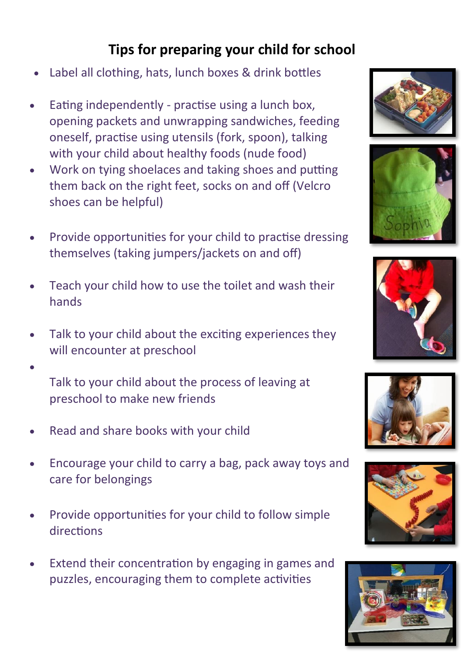## **Tips for preparing your child for school**

- Label all clothing, hats, lunch boxes & drink bottles
- Eating independently practise using a lunch box, opening packets and unwrapping sandwiches, feeding oneself, practise using utensils (fork, spoon), talking with your child about healthy foods (nude food)
- Work on tying shoelaces and taking shoes and putting them back on the right feet, socks on and off (Velcro shoes can be helpful)
- Provide opportunities for your child to practise dressing themselves (taking jumpers/jackets on and off)
- Teach your child how to use the toilet and wash their hands
- Talk to your child about the exciting experiences they will encounter at preschool
	- Talk to your child about the process of leaving at preschool to make new friends
- Read and share books with your child

•

- Encourage your child to carry a bag, pack away toys and care for belongings
- Provide opportunities for your child to follow simple directions
- Extend their concentration by engaging in games and puzzles, encouraging them to complete activities











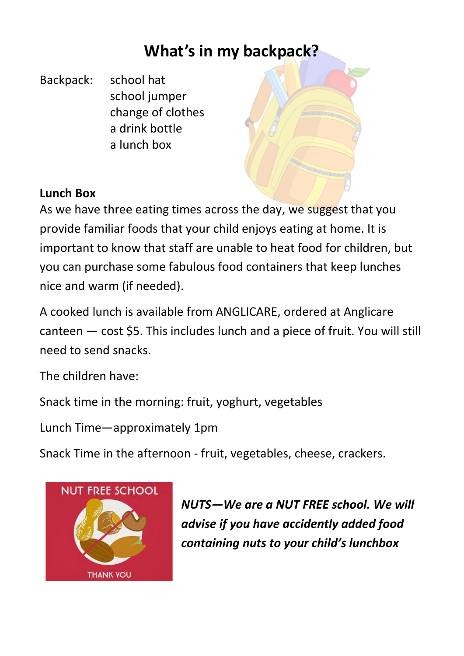## **What's in my backpack?**

Backpack: school hat school jumper change of clothes a drink bottle a lunch box

#### **Lunch Box**

As we have three eating times across the day, we suggest that you provide familiar foods that your child enjoys eating at home. It is important to know that staff are unable to heat food for children, but you can purchase some fabulous food containers that keep lunches nice and warm (if needed).

A cooked lunch is available from ANGLICARE, ordered at Anglicare canteen — cost \$5. This includes lunch and a piece of fruit. You will still need to send snacks.

The children have:

Snack time in the morning: fruit, yoghurt, vegetables

Lunch Time—approximately 1pm

Snack Time in the afternoon - fruit, vegetables, cheese, crackers.



*NUTS—We are a NUT FREE school. We will advise if you have accidently added food containing nuts to your child's lunchbox*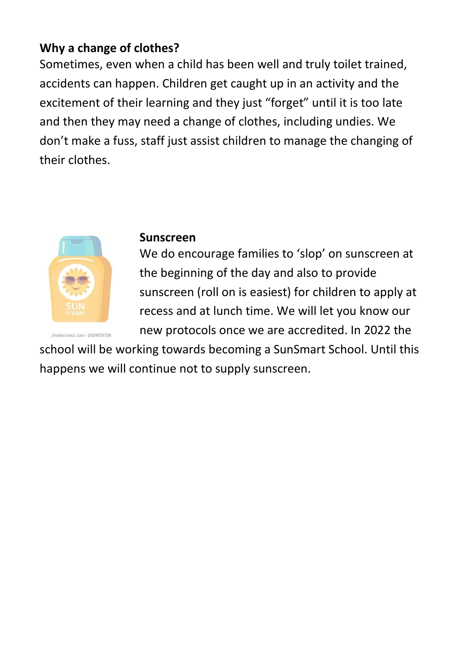#### **Why a change of clothes?**

Sometimes, even when a child has been well and truly toilet trained, accidents can happen. Children get caught up in an activity and the excitement of their learning and they just "forget" until it is too late and then they may need a change of clothes, including undies. We don't make a fuss, staff just assist children to manage the changing of their clothes.



#### **Sunscreen**

We do encourage families to 'slop' on sunscreen at the beginning of the day and also to provide sunscreen (roll on is easiest) for children to apply at recess and at lunch time. We will let you know our new protocols once we are accredited. In 2022 the

school will be working towards becoming a SunSmart School. Until this happens we will continue not to supply sunscreen.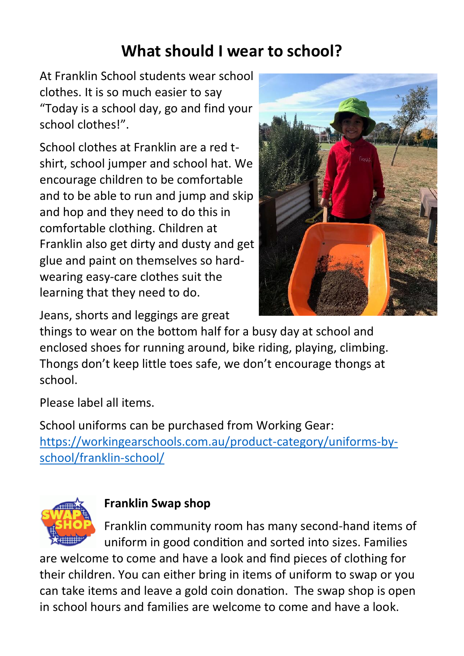## **What should I wear to school?**

At Franklin School students wear school clothes. It is so much easier to say "Today is a school day, go and find your school clothes!".

School clothes at Franklin are a red tshirt, school jumper and school hat. We encourage children to be comfortable and to be able to run and jump and skip and hop and they need to do this in comfortable clothing. Children at Franklin also get dirty and dusty and get glue and paint on themselves so hardwearing easy-care clothes suit the learning that they need to do.



Jeans, shorts and leggings are great

things to wear on the bottom half for a busy day at school and enclosed shoes for running around, bike riding, playing, climbing. Thongs don't keep little toes safe, we don't encourage thongs at school.

Please label all items.

School uniforms can be purchased from Working Gear: [https://workingearschools.com.au/product-category/uniforms-by](https://workingearschools.com.au/product-category/uniforms-by-school/franklin-school/)[school/franklin-school/](https://workingearschools.com.au/product-category/uniforms-by-school/franklin-school/)



#### **Franklin Swap shop**

Franklin community room has many second-hand items of uniform in good condition and sorted into sizes. Families

are welcome to come and have a look and find pieces of clothing for their children. You can either bring in items of uniform to swap or you can take items and leave a gold coin donation. The swap shop is open in school hours and families are welcome to come and have a look.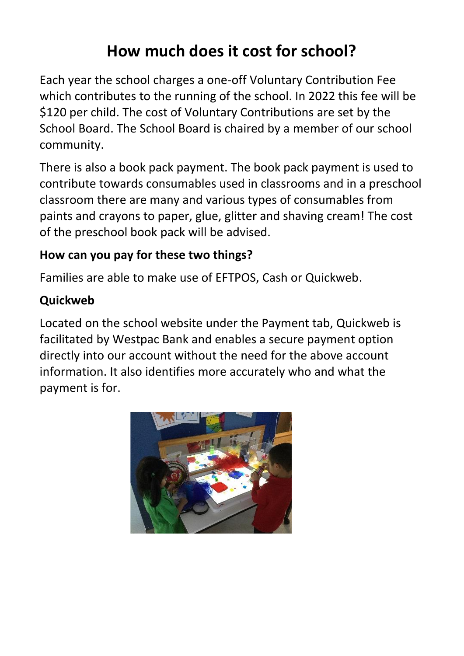# **How much does it cost for school?**

Each year the school charges a one-off Voluntary Contribution Fee which contributes to the running of the school. In 2022 this fee will be \$120 per child. The cost of Voluntary Contributions are set by the School Board. The School Board is chaired by a member of our school community.

There is also a book pack payment. The book pack payment is used to contribute towards consumables used in classrooms and in a preschool classroom there are many and various types of consumables from paints and crayons to paper, glue, glitter and shaving cream! The cost of the preschool book pack will be advised.

#### **How can you pay for these two things?**

Families are able to make use of EFTPOS, Cash or Quickweb.

#### **Quickweb**

Located on the school website under the Payment tab, Quickweb is facilitated by Westpac Bank and enables a secure payment option directly into our account without the need for the above account information. It also identifies more accurately who and what the payment is for.

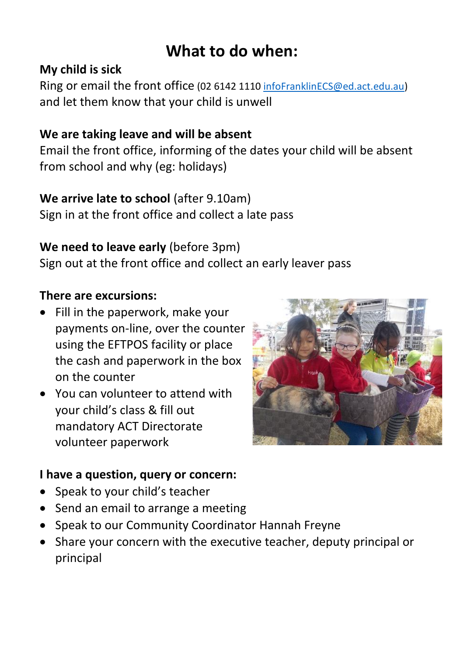# **What to do when:**

#### **My child is sick**

Ring or email the front office (02 6142 1110 [infoFranklinECS@ed.act.edu.au\)](mailto:infoFranklinECS@ed.act.edu.au) and let them know that your child is unwell

#### **We are taking leave and will be absent**

Email the front office, informing of the dates your child will be absent from school and why (eg: holidays)

#### **We arrive late to school** (after 9.10am)

Sign in at the front office and collect a late pass

#### **We need to leave early** (before 3pm)

Sign out at the front office and collect an early leaver pass

#### **There are excursions:**

- Fill in the paperwork, make your payments on-line, over the counter using the EFTPOS facility or place the cash and paperwork in the box on the counter
- You can volunteer to attend with your child's class & fill out mandatory ACT Directorate volunteer paperwork



#### **I have a question, query or concern:**

- Speak to your child's teacher
- Send an email to arrange a meeting
- Speak to our Community Coordinator Hannah Freyne
- Share your concern with the executive teacher, deputy principal or principal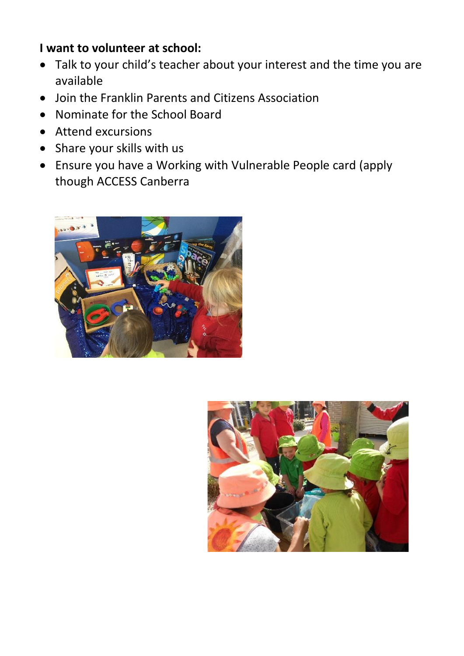#### **I want to volunteer at school:**

- Talk to your child's teacher about your interest and the time you are available
- Join the Franklin Parents and Citizens Association
- Nominate for the School Board
- Attend excursions
- Share your skills with us
- Ensure you have a Working with Vulnerable People card (apply though ACCESS Canberra



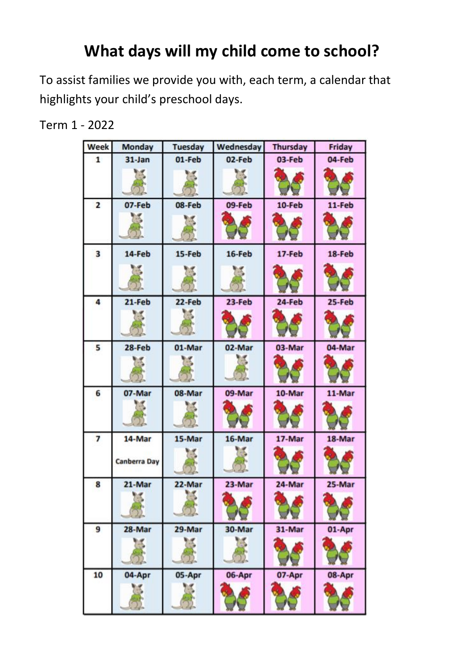# **What days will my child come to school?**

To assist families we provide you with, each term, a calendar that highlights your child's preschool days.

Term 1 - 2022

| <b>Week</b>    | <b>Monday</b>          | <b>Tuesday</b> | Wednesday | <b>Thursday</b> | Friday |
|----------------|------------------------|----------------|-----------|-----------------|--------|
| 1              | $31$ -Jan              | 01-Feb         | 02-Feb    | 03-Feb          | 04-Feb |
|                |                        |                |           |                 |        |
| $\overline{2}$ | 07-Feb<br>Tax.         | 08-Feb         | 09-Feb    | 10-Feb          | 11-Feb |
| 3              | 14-Feb                 | 15-Feb         | 16-Feb    | 17-Feb          | 18-Feb |
| 4              | $21-Feb$               | $22$ -Feb      | 23-Feb    | 24-Feb          | 25-Feb |
| 5              | 28-Feb                 | 01-Mar         | 02-Mar    | 03-Mar          | 04-Mar |
| 6              | 07-Mar                 | 08-Mar         | 09-Mar    | 10-Mar          | 11-Mar |
| $\overline{7}$ | 14-Mar<br>Canberra Day | 15-Mar         | 16-Mar    | 17-Mar          | 18-Mar |
| 8              | 21-Mar                 | 22-Mar         | 23-Mar    | 24-Mar          | 25-Mar |
| 9              | 28-Mar                 | 29-Mar         | 30-Mar    | 31-Mar          | 01-Apr |
| 10             | 04-Apr                 | 05-Apr         | 06-Apr    | 07-Apr          | 08-Apr |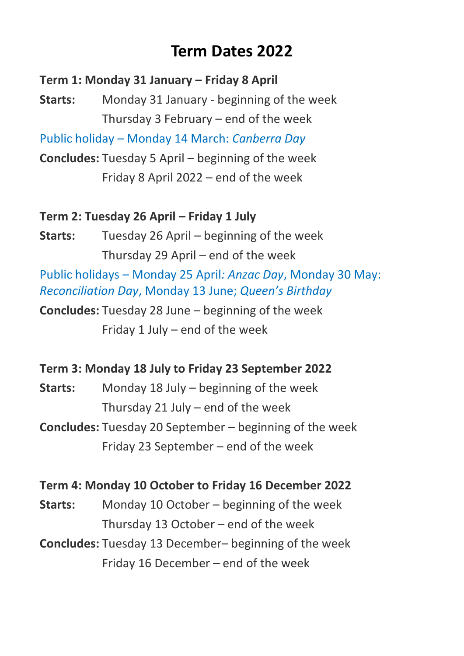## **Term Dates 2022**

**Term 1: Monday 31 January – Friday 8 April**

**Starts:** Monday 31 January - beginning of the week Thursday 3 February – end of the week

Public holiday – Monday 14 March: *Canberra Day*

**Concludes:** Tuesday 5 April – beginning of the week Friday 8 April 2022 – end of the week

#### **Term 2: Tuesday 26 April – Friday 1 July**

**Starts:** Tuesday 26 April – beginning of the week Thursday 29 April – end of the week

Public holidays – Monday 25 April*: Anzac Day*, Monday 30 May: *Reconciliation Day*, Monday 13 June; *Queen's Birthday*

**Concludes:** Tuesday 28 June – beginning of the week Friday 1 July – end of the week

#### **Term 3: Monday 18 July to Friday 23 September 2022**

**Starts:** Monday 18 July – beginning of the week Thursday 21 July – end of the week

**Concludes:** Tuesday 20 September – beginning of the week Friday 23 September – end of the week

#### **Term 4: Monday 10 October to Friday 16 December 2022**

**Starts:** Monday 10 October – beginning of the week Thursday 13 October – end of the week

**Concludes:** Tuesday 13 December– beginning of the week Friday 16 December – end of the week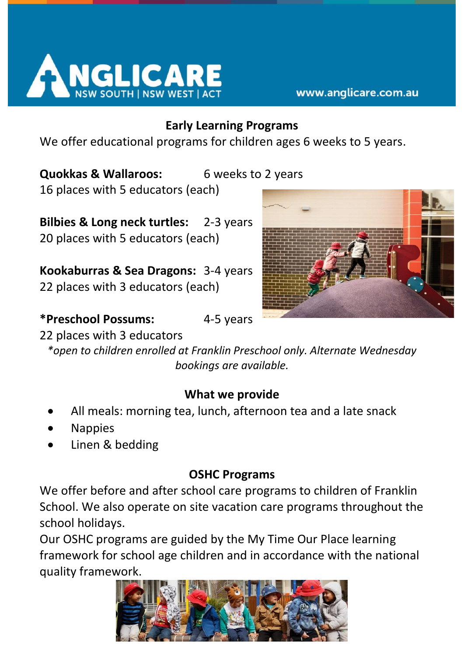

#### **Early Learning Programs**

We offer educational programs for children ages 6 weeks to 5 years.

## **Quokkas & Wallaroos:** 6 weeks to 2 years

16 places with 5 educators (each)

**Bilbies & Long neck turtles:** 2-3 years 20 places with 5 educators (each)

**Kookaburras & Sea Dragons:** 3-4 years 22 places with 3 educators (each)



**\*Preschool Possums:** 4-5 years

#### 22 places with 3 educators

*\*open to children enrolled at Franklin Preschool only. Alternate Wednesday bookings are available.*

#### **What we provide**

- All meals: morning tea, lunch, afternoon tea and a late snack
- Nappies
- Linen & bedding

#### **OSHC Programs**

We offer before and after school care programs to children of Franklin School. We also operate on site vacation care programs throughout the school holidays.

Our OSHC programs are guided by the My Time Our Place learning framework for school age children and in accordance with the national quality framework.